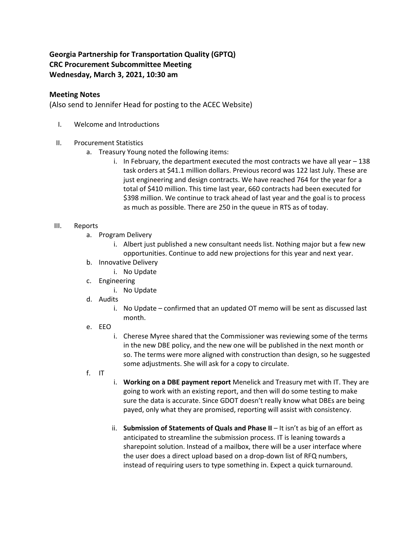## **Georgia Partnership for Transportation Quality (GPTQ) CRC Procurement Subcommittee Meeting Wednesday, March 3, 2021, 10:30 am**

## **Meeting Notes**

(Also send to Jennifer Head for posting to the ACEC Website)

- I. Welcome and Introductions
- II. Procurement Statistics
	- a. Treasury Young noted the following items:
		- i. In February, the department executed the most contracts we have all year  $-138$ task orders at \$41.1 million dollars. Previous record was 122 last July. These are just engineering and design contracts. We have reached 764 for the year for a total of \$410 million. This time last year, 660 contracts had been executed for \$398 million. We continue to track ahead of last year and the goal is to process as much as possible. There are 250 in the queue in RTS as of today.

## III. Reports

- a. Program Delivery
	- i. Albert just published a new consultant needs list. Nothing major but a few new opportunities. Continue to add new projections for this year and next year.
- b. Innovative Delivery
	- i. No Update
- c. Engineering
	- i. No Update
- d. Audits
	- i. No Update confirmed that an updated OT memo will be sent as discussed last month.
- e. EEO
	- i. Cherese Myree shared that the Commissioner was reviewing some of the terms in the new DBE policy, and the new one will be published in the next month or so. The terms were more aligned with construction than design, so he suggested some adjustments. She will ask for a copy to circulate.
- f. IT
- i. **Working on a DBE payment report** Menelick and Treasury met with IT. They are going to work with an existing report, and then will do some testing to make sure the data is accurate. Since GDOT doesn't really know what DBEs are being payed, only what they are promised, reporting will assist with consistency.
- ii. **Submission of Statements of Quals and Phase II** It isn't as big of an effort as anticipated to streamline the submission process. IT is leaning towards a sharepoint solution. Instead of a mailbox, there will be a user interface where the user does a direct upload based on a drop-down list of RFQ numbers, instead of requiring users to type something in. Expect a quick turnaround.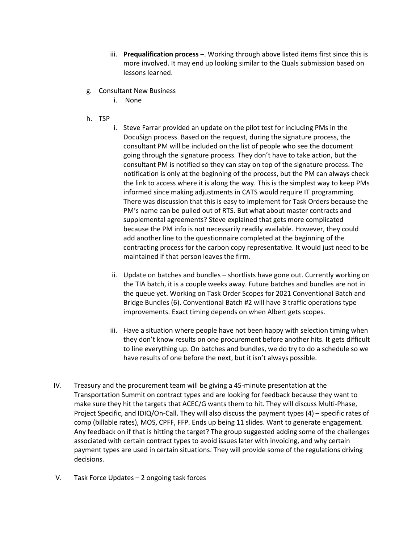- iii. **Prequalification process** –. Working through above listed items first since this is more involved. It may end up looking similar to the Quals submission based on lessons learned.
- g. Consultant New Business
	- i. None
- h. TSP
	- i. Steve Farrar provided an update on the pilot test for including PMs in the DocuSign process. Based on the request, during the signature process, the consultant PM will be included on the list of people who see the document going through the signature process. They don't have to take action, but the consultant PM is notified so they can stay on top of the signature process. The notification is only at the beginning of the process, but the PM can always check the link to access where it is along the way. This is the simplest way to keep PMs informed since making adjustments in CATS would require IT programming. There was discussion that this is easy to implement for Task Orders because the PM's name can be pulled out of RTS. But what about master contracts and supplemental agreements? Steve explained that gets more complicated because the PM info is not necessarily readily available. However, they could add another line to the questionnaire completed at the beginning of the contracting process for the carbon copy representative. It would just need to be maintained if that person leaves the firm.
	- ii. Update on batches and bundles shortlists have gone out. Currently working on the TIA batch, it is a couple weeks away. Future batches and bundles are not in the queue yet. Working on Task Order Scopes for 2021 Conventional Batch and Bridge Bundles (6). Conventional Batch #2 will have 3 traffic operations type improvements. Exact timing depends on when Albert gets scopes.
	- iii. Have a situation where people have not been happy with selection timing when they don't know results on one procurement before another hits. It gets difficult to line everything up. On batches and bundles, we do try to do a schedule so we have results of one before the next, but it isn't always possible.
- IV. Treasury and the procurement team will be giving a 45-minute presentation at the Transportation Summit on contract types and are looking for feedback because they want to make sure they hit the targets that ACEC/G wants them to hit. They will discuss Multi-Phase, Project Specific, and IDIQ/On-Call. They will also discuss the payment types (4) – specific rates of comp (billable rates), MOS, CPFF, FFP. Ends up being 11 slides. Want to generate engagement. Any feedback on if that is hitting the target? The group suggested adding some of the challenges associated with certain contract types to avoid issues later with invoicing, and why certain payment types are used in certain situations. They will provide some of the regulations driving decisions.
- V. Task Force Updates 2 ongoing task forces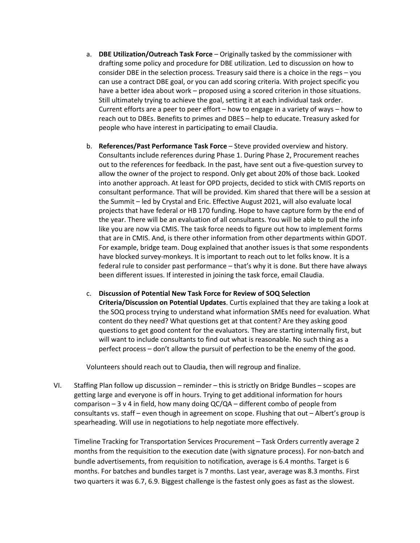- a. **DBE Utilization/Outreach Task Force** Originally tasked by the commissioner with drafting some policy and procedure for DBE utilization. Led to discussion on how to consider DBE in the selection process. Treasury said there is a choice in the regs – you can use a contract DBE goal, or you can add scoring criteria. With project specific you have a better idea about work – proposed using a scored criterion in those situations. Still ultimately trying to achieve the goal, setting it at each individual task order. Current efforts are a peer to peer effort – how to engage in a variety of ways – how to reach out to DBEs. Benefits to primes and DBES – help to educate. Treasury asked for people who have interest in participating to email Claudia.
- b. **References/Past Performance Task Force** Steve provided overview and history. Consultants include references during Phase 1. During Phase 2, Procurement reaches out to the references for feedback. In the past, have sent out a five-question survey to allow the owner of the project to respond. Only get about 20% of those back. Looked into another approach. At least for OPD projects, decided to stick with CMIS reports on consultant performance. That will be provided. Kim shared that there will be a session at the Summit – led by Crystal and Eric. Effective August 2021, will also evaluate local projects that have federal or HB 170 funding. Hope to have capture form by the end of the year. There will be an evaluation of all consultants. You will be able to pull the info like you are now via CMIS. The task force needs to figure out how to implement forms that are in CMIS. And, is there other information from other departments within GDOT. For example, bridge team. Doug explained that another issues is that some respondents have blocked survey-monkeys. It is important to reach out to let folks know. It is a federal rule to consider past performance – that's why it is done. But there have always been different issues. If interested in joining the task force, email Claudia.
- c. **Discussion of Potential New Task Force for Review of SOQ Selection Criteria/Discussion on Potential Updates**. Curtis explained that they are taking a look at the SOQ process trying to understand what information SMEs need for evaluation. What content do they need? What questions get at that content? Are they asking good questions to get good content for the evaluators. They are starting internally first, but will want to include consultants to find out what is reasonable. No such thing as a perfect process – don't allow the pursuit of perfection to be the enemy of the good.

Volunteers should reach out to Claudia, then will regroup and finalize.

VI. Staffing Plan follow up discussion – reminder – this is strictly on Bridge Bundles – scopes are getting large and everyone is off in hours. Trying to get additional information for hours comparison  $-3$  v 4 in field, how many doing QC/QA  $-$  different combo of people from consultants vs. staff – even though in agreement on scope. Flushing that out – Albert's group is spearheading. Will use in negotiations to help negotiate more effectively.

Timeline Tracking for Transportation Services Procurement – Task Orders currently average 2 months from the requisition to the execution date (with signature process). For non-batch and bundle advertisements, from requisition to notification, average is 6.4 months. Target is 6 months. For batches and bundles target is 7 months. Last year, average was 8.3 months. First two quarters it was 6.7, 6.9. Biggest challenge is the fastest only goes as fast as the slowest.